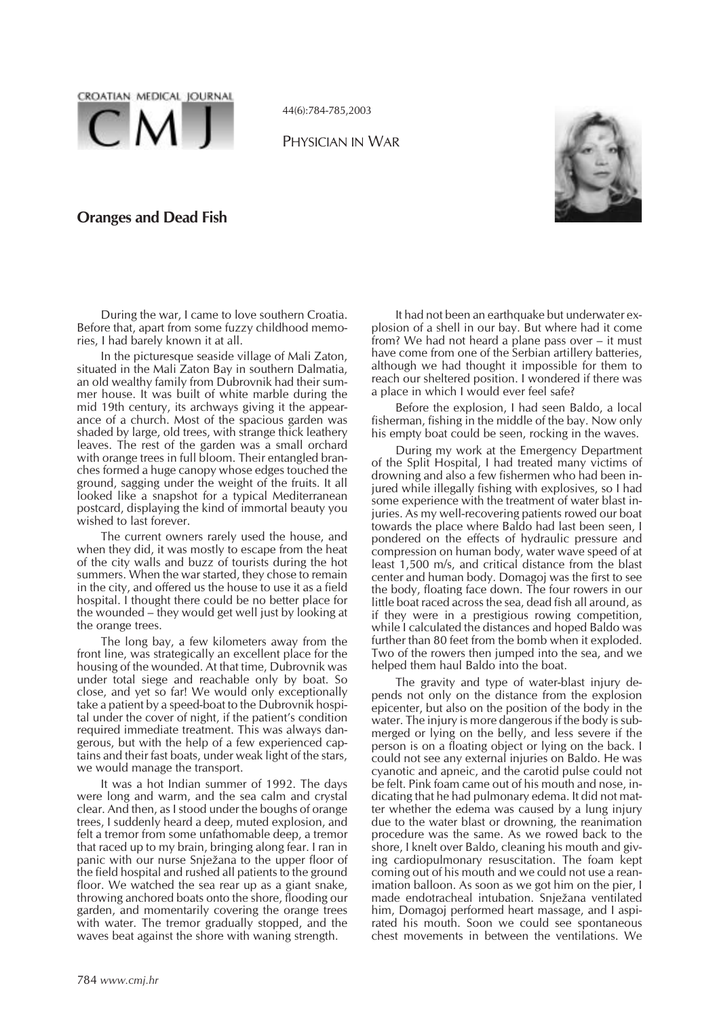

44(6):784-785,2003

## PHYSICIAN IN WAR



## **Oranges and Dead Fish**

During the war, I came to love southern Croatia. Before that, apart from some fuzzy childhood memories, I had barely known it at all.

In the picturesque seaside village of Mali Zaton, situated in the Mali Zaton Bay in southern Dalmatia, an old wealthy family from Dubrovnik had their summer house. It was built of white marble during the mid 19th century, its archways giving it the appearance of a church. Most of the spacious garden was shaded by large, old trees, with strange thick leathery leaves. The rest of the garden was a small orchard with orange trees in full bloom. Their entangled branches formed a huge canopy whose edges touched the ground, sagging under the weight of the fruits. It all looked like a snapshot for a typical Mediterranean postcard, displaying the kind of immortal beauty you wished to last forever.

The current owners rarely used the house, and when they did, it was mostly to escape from the heat of the city walls and buzz of tourists during the hot summers. When the war started, they chose to remain in the city, and offered us the house to use it as a field hospital. I thought there could be no better place for the wounded – they would get well just by looking at the orange trees.

The long bay, a few kilometers away from the front line, was strategically an excellent place for the housing of the wounded. At that time, Dubrovnik was under total siege and reachable only by boat. So close, and yet so far! We would only exceptionally take a patient by a speed-boat to the Dubrovnik hospital under the cover of night, if the patient's condition required immediate treatment. This was always dangerous, but with the help of a few experienced captains and their fast boats, under weak light of the stars, we would manage the transport.

It was a hot Indian summer of 1992. The days were long and warm, and the sea calm and crystal clear. And then, as I stood under the boughs of orange trees, I suddenly heard a deep, muted explosion, and felt a tremor from some unfathomable deep, a tremor that raced up to my brain, bringing along fear. I ran in panic with our nurse Snježana to the upper floor of the field hospital and rushed all patients to the ground floor. We watched the sea rear up as a giant snake, throwing anchored boats onto the shore, flooding our garden, and momentarily covering the orange trees with water. The tremor gradually stopped, and the waves beat against the shore with waning strength.

It had not been an earthquake but underwater explosion of a shell in our bay. But where had it come from? We had not heard a plane pass over – it must have come from one of the Serbian artillery batteries, although we had thought it impossible for them to reach our sheltered position. I wondered if there was a place in which I would ever feel safe?

Before the explosion, I had seen Baldo, a local fisherman, fishing in the middle of the bay. Now only his empty boat could be seen, rocking in the waves.

During my work at the Emergency Department of the Split Hospital, I had treated many victims of drowning and also a few fishermen who had been injured while illegally fishing with explosives, so I had some experience with the treatment of water blast injuries. As my well-recovering patients rowed our boat towards the place where Baldo had last been seen, I pondered on the effects of hydraulic pressure and compression on human body, water wave speed of at least 1,500 m/s, and critical distance from the blast center and human body. Domagoj was the first to see the body, floating face down. The four rowers in our little boat raced across the sea, dead fish all around, as if they were in a prestigious rowing competition, while I calculated the distances and hoped Baldo was further than 80 feet from the bomb when it exploded. Two of the rowers then jumped into the sea, and we helped them haul Baldo into the boat.

The gravity and type of water-blast injury depends not only on the distance from the explosion epicenter, but also on the position of the body in the water. The injury is more dangerous if the body is submerged or lying on the belly, and less severe if the person is on a floating object or lying on the back. I could not see any external injuries on Baldo. He was cyanotic and apneic, and the carotid pulse could not be felt. Pink foam came out of his mouth and nose, indicating that he had pulmonary edema. It did not matter whether the edema was caused by a lung injury due to the water blast or drowning, the reanimation procedure was the same. As we rowed back to the shore, I knelt over Baldo, cleaning his mouth and giving cardiopulmonary resuscitation. The foam kept coming out of his mouth and we could not use a reanimation balloon. As soon as we got him on the pier, I made endotracheal intubation. Snježana ventilated him, Domagoj performed heart massage, and I aspirated his mouth. Soon we could see spontaneous chest movements in between the ventilations. We